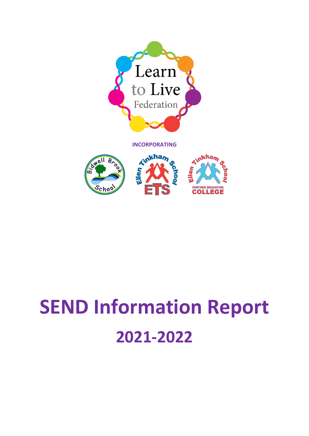

**INCORPORATING**



## **SEND Information Report 2021-2022**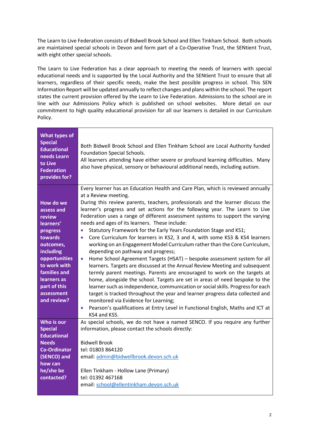The Learn to Live Federation consists of Bidwell Brook School and Ellen Tinkham School. Both schools are maintained special schools in Devon and form part of a Co-Operative Trust, the SENtient Trust, with eight other special schools.

The Learn to Live Federation has a clear approach to meeting the needs of learners with special educational needs and is supported by the Local Authority and the SENtient Trust to ensure that all learners, regardless of their specific needs, make the best possible progress in school. This SEN Information Report will be updated annually to reflect changes and plans within the school. The report states the current provision offered by the Learn to Live Federation. Admissions to the school are in line with our Admissions Policy which is published on school websites. More detail on our commitment to high quality educational provision for all our learners is detailed in our Curriculum Policy.

| What types of<br><b>Special</b><br><b>Educational</b><br>needs Learn<br>to Live<br><b>Federation</b><br>provides for?                                                                                        | Both Bidwell Brook School and Ellen Tinkham School are Local Authority funded<br>Foundation Special Schools.<br>All learners attending have either severe or profound learning difficulties. Many<br>also have physical, sensory or behavioural additional needs, including autism.                                                                                                                                                                                                                                                                                                                                                                                                                                                                                                                                                                                                                                                                                                                                                                                                                                                                                                                                                                                                                                                                                            |
|--------------------------------------------------------------------------------------------------------------------------------------------------------------------------------------------------------------|--------------------------------------------------------------------------------------------------------------------------------------------------------------------------------------------------------------------------------------------------------------------------------------------------------------------------------------------------------------------------------------------------------------------------------------------------------------------------------------------------------------------------------------------------------------------------------------------------------------------------------------------------------------------------------------------------------------------------------------------------------------------------------------------------------------------------------------------------------------------------------------------------------------------------------------------------------------------------------------------------------------------------------------------------------------------------------------------------------------------------------------------------------------------------------------------------------------------------------------------------------------------------------------------------------------------------------------------------------------------------------|
| How do we<br>assess and<br>review<br>learners'<br>progress<br>towards<br>outcomes,<br>including<br>opportunities<br>to work with<br>families and<br>learners as<br>part of this<br>assessment<br>and review? | Every learner has an Education Health and Care Plan, which is reviewed annually<br>at a Review meeting.<br>During this review parents, teachers, professionals and the learner discuss the<br>learner's progress and set actions for the following year. The Learn to Live<br>Federation uses a range of different assessment systems to support the varying<br>needs and ages of its learners. These include:<br>Statutory Framework for the Early Years Foundation Stage and KS1;<br>$\bullet$<br>Core Curriculum for learners in KS2, 3 and 4, with some KS3 & KS4 learners<br>$\bullet$<br>working on an Engagement Model Curriculum rather than the Core Curriculum,<br>depending on pathway and progress;<br>Home School Agreement Targets (HSAT) - bespoke assessment system for all<br>$\bullet$<br>learners. Targets are discussed at the Annual Review Meeting and subsequent<br>termly parent meetings. Parents are encouraged to work on the targets at<br>home, alongside the school. Targets are set in areas of need bespoke to the<br>learner such as independence, communication or social skills. Progress for each<br>target is tracked throughout the year and learner progress data collected and<br>monitored via Evidence for Learning;<br>Pearson's qualifications at Entry Level in Functional English, Maths and ICT at<br>$\bullet$<br>KS4 and KS5. |
| Who is our<br><b>Special</b><br><b>Educational</b><br><b>Needs</b><br><b>Co-Ordinator</b><br>(SENCO) and<br>how can<br>he/she be<br>contacted?                                                               | As special schools, we do not have a named SENCO. If you require any further<br>information, please contact the schools directly:<br><b>Bidwell Brook</b><br>tel: 01803 864120<br>email: admin@bidwellbrook.devon.sch.uk<br>Ellen Tinkham - Hollow Lane (Primary)<br>tel: 01392 467168<br>email: school@ellentinkham.devon.sch.uk                                                                                                                                                                                                                                                                                                                                                                                                                                                                                                                                                                                                                                                                                                                                                                                                                                                                                                                                                                                                                                              |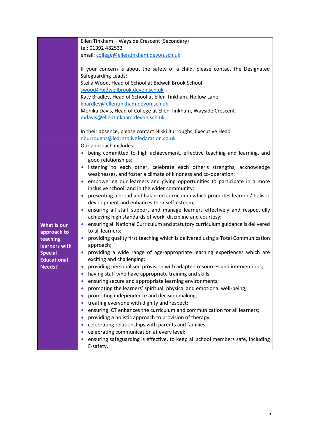|                    | Ellen Tinkham - Wayside Crescent (Secondary)                                                               |
|--------------------|------------------------------------------------------------------------------------------------------------|
|                    | tel: 01392 482533                                                                                          |
|                    | email: college@ellentinkham.devon.sch.uk                                                                   |
|                    |                                                                                                            |
|                    | If your concern is about the safety of a child, please contact the Designated                              |
|                    | Safeguarding Leads:                                                                                        |
|                    | Stella Wood, Head of School at Bidwell Brook School                                                        |
|                    | swood@bidwellbrook.devon.sch.uk                                                                            |
|                    | Katy Bradley, Head of School at Ellen Tinkham, Hollow Lane                                                 |
|                    | kbardley@ellentinkham.devon.sch.uk                                                                         |
|                    | Monika Davis, Head of College at Ellen Tinkham, Wayside Crescent                                           |
|                    | mdavis@ellentinkham.devon.sch.uk                                                                           |
|                    |                                                                                                            |
|                    | In their absence, please contact Nikki Burroughs, Executive Head<br>nburroughs@learntolivefedaration.co.uk |
|                    | Our approach includes:                                                                                     |
|                    | being committed to high achievement, effective teaching and learning, and                                  |
|                    | good relationships;                                                                                        |
|                    | listening to each other, celebrate each other's strengths, acknowledge                                     |
|                    | weaknesses, and foster a climate of kindness and co-operation;                                             |
|                    | empowering our learners and giving opportunities to participate in a more                                  |
|                    | inclusive school, and in the wider community;                                                              |
|                    | presenting a broad and balanced curriculum which promotes learners' holistic                               |
|                    | development and enhances their self-esteem;                                                                |
|                    | ensuring all staff support and manage learners effectively and respectfully<br>$\bullet$                   |
|                    | achieving high standards of work, discipline and courtesy;                                                 |
| <b>What is our</b> | ensuring all National Curriculum and statutory curriculum guidance is delivered                            |
| approach to        | to all learners;                                                                                           |
| teaching           | providing quality first teaching which is delivered using a Total Communication                            |
| learners with      | approach;                                                                                                  |
| <b>Special</b>     | providing a wide range of age-appropriate learning experiences which are<br>۰                              |
| <b>Educational</b> | exciting and challenging;                                                                                  |
| <b>Needs?</b>      | providing personalised provision with adapted resources and interventions;                                 |
|                    | having staff who have appropriate training and skills;                                                     |
|                    | ensuring secure and appropriate learning environments;                                                     |
|                    | promoting the learners' spiritual, physical and emotional well-being;                                      |
|                    | promoting independence and decision making;                                                                |
|                    | treating everyone with dignity and respect;                                                                |
|                    | ensuring ICT enhances the curriculum and communication for all learners;                                   |
|                    | providing a holistic approach to provision of therapy;                                                     |
|                    | celebrating relationships with parents and families;                                                       |
|                    | celebrating communication at every level;                                                                  |
|                    | ensuring safeguarding is effective, to keep all school members safe, including                             |
|                    | E-safety.                                                                                                  |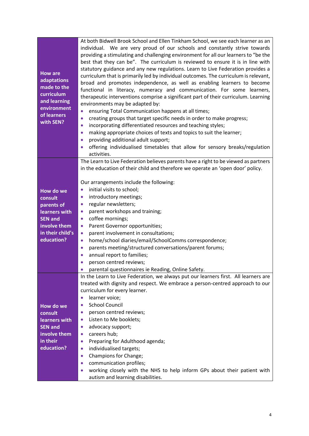| <b>How are</b><br>adaptations<br>made to the<br>curriculum<br>and learning<br>environment<br>of learners<br>with SEN? | At both Bidwell Brook School and Ellen Tinkham School, we see each learner as an<br>individual. We are very proud of our schools and constantly strive towards<br>providing a stimulating and challenging environment for all our learners to "be the<br>best that they can be". The curriculum is reviewed to ensure it is in line with<br>statutory guidance and any new regulations. Learn to Live Federation provides a<br>curriculum that is primarily led by individual outcomes. The curriculum is relevant,<br>broad and promotes independence, as well as enabling learners to become<br>functional in literacy, numeracy and communication. For some learners,<br>therapeutic interventions comprise a significant part of their curriculum. Learning<br>environments may be adapted by:<br>ensuring Total Communication happens at all times;<br>$\bullet$<br>creating groups that target specific needs in order to make progress;<br>$\bullet$<br>incorporating differentiated resources and teaching styles;<br>$\bullet$ |
|-----------------------------------------------------------------------------------------------------------------------|-----------------------------------------------------------------------------------------------------------------------------------------------------------------------------------------------------------------------------------------------------------------------------------------------------------------------------------------------------------------------------------------------------------------------------------------------------------------------------------------------------------------------------------------------------------------------------------------------------------------------------------------------------------------------------------------------------------------------------------------------------------------------------------------------------------------------------------------------------------------------------------------------------------------------------------------------------------------------------------------------------------------------------------------|
|                                                                                                                       | making appropriate choices of texts and topics to suit the learner;<br>$\bullet$                                                                                                                                                                                                                                                                                                                                                                                                                                                                                                                                                                                                                                                                                                                                                                                                                                                                                                                                                        |
|                                                                                                                       | providing additional adult support;<br>$\bullet$                                                                                                                                                                                                                                                                                                                                                                                                                                                                                                                                                                                                                                                                                                                                                                                                                                                                                                                                                                                        |
|                                                                                                                       | offering individualised timetables that allow for sensory breaks/regulation<br>$\bullet$                                                                                                                                                                                                                                                                                                                                                                                                                                                                                                                                                                                                                                                                                                                                                                                                                                                                                                                                                |
|                                                                                                                       | activities.<br>The Learn to Live Federation believes parents have a right to be viewed as partners                                                                                                                                                                                                                                                                                                                                                                                                                                                                                                                                                                                                                                                                                                                                                                                                                                                                                                                                      |
|                                                                                                                       | in the education of their child and therefore we operate an 'open door' policy.                                                                                                                                                                                                                                                                                                                                                                                                                                                                                                                                                                                                                                                                                                                                                                                                                                                                                                                                                         |
|                                                                                                                       |                                                                                                                                                                                                                                                                                                                                                                                                                                                                                                                                                                                                                                                                                                                                                                                                                                                                                                                                                                                                                                         |
|                                                                                                                       | Our arrangements include the following:                                                                                                                                                                                                                                                                                                                                                                                                                                                                                                                                                                                                                                                                                                                                                                                                                                                                                                                                                                                                 |
| How do we                                                                                                             | initial visits to school;<br>$\bullet$                                                                                                                                                                                                                                                                                                                                                                                                                                                                                                                                                                                                                                                                                                                                                                                                                                                                                                                                                                                                  |
| consult                                                                                                               | introductory meetings;<br>$\bullet$                                                                                                                                                                                                                                                                                                                                                                                                                                                                                                                                                                                                                                                                                                                                                                                                                                                                                                                                                                                                     |
| parents of                                                                                                            | regular newsletters;<br>$\bullet$<br>parent workshops and training;<br>$\bullet$                                                                                                                                                                                                                                                                                                                                                                                                                                                                                                                                                                                                                                                                                                                                                                                                                                                                                                                                                        |
| learners with<br><b>SEN and</b>                                                                                       | coffee mornings;<br>$\bullet$                                                                                                                                                                                                                                                                                                                                                                                                                                                                                                                                                                                                                                                                                                                                                                                                                                                                                                                                                                                                           |
| involve them                                                                                                          | Parent Governor opportunities;<br>$\bullet$                                                                                                                                                                                                                                                                                                                                                                                                                                                                                                                                                                                                                                                                                                                                                                                                                                                                                                                                                                                             |
| in their child's                                                                                                      | parent involvement in consultations;<br>$\bullet$                                                                                                                                                                                                                                                                                                                                                                                                                                                                                                                                                                                                                                                                                                                                                                                                                                                                                                                                                                                       |
| education?                                                                                                            | home/school diaries/email/SchoolComms correspondence;<br>$\bullet$                                                                                                                                                                                                                                                                                                                                                                                                                                                                                                                                                                                                                                                                                                                                                                                                                                                                                                                                                                      |
|                                                                                                                       | parents meeting/structured conversations/parent forums;<br>$\bullet$                                                                                                                                                                                                                                                                                                                                                                                                                                                                                                                                                                                                                                                                                                                                                                                                                                                                                                                                                                    |
|                                                                                                                       | annual report to families;<br>$\bullet$                                                                                                                                                                                                                                                                                                                                                                                                                                                                                                                                                                                                                                                                                                                                                                                                                                                                                                                                                                                                 |
|                                                                                                                       | person centred reviews;                                                                                                                                                                                                                                                                                                                                                                                                                                                                                                                                                                                                                                                                                                                                                                                                                                                                                                                                                                                                                 |
|                                                                                                                       | parental questionnaires ie Reading, Online Safety.                                                                                                                                                                                                                                                                                                                                                                                                                                                                                                                                                                                                                                                                                                                                                                                                                                                                                                                                                                                      |
|                                                                                                                       | In the Learn to Live Federation, we always put our learners first. All learners are                                                                                                                                                                                                                                                                                                                                                                                                                                                                                                                                                                                                                                                                                                                                                                                                                                                                                                                                                     |
|                                                                                                                       | treated with dignity and respect. We embrace a person-centred approach to our                                                                                                                                                                                                                                                                                                                                                                                                                                                                                                                                                                                                                                                                                                                                                                                                                                                                                                                                                           |
|                                                                                                                       | curriculum for every learner.<br>learner voice;                                                                                                                                                                                                                                                                                                                                                                                                                                                                                                                                                                                                                                                                                                                                                                                                                                                                                                                                                                                         |
|                                                                                                                       | $\bullet$<br><b>School Council</b>                                                                                                                                                                                                                                                                                                                                                                                                                                                                                                                                                                                                                                                                                                                                                                                                                                                                                                                                                                                                      |
| How do we<br>consult                                                                                                  | person centred reviews;<br>$\bullet$                                                                                                                                                                                                                                                                                                                                                                                                                                                                                                                                                                                                                                                                                                                                                                                                                                                                                                                                                                                                    |
| learners with                                                                                                         | Listen to Me booklets;<br>$\bullet$                                                                                                                                                                                                                                                                                                                                                                                                                                                                                                                                                                                                                                                                                                                                                                                                                                                                                                                                                                                                     |
| <b>SEN and</b>                                                                                                        | advocacy support;<br>$\bullet$                                                                                                                                                                                                                                                                                                                                                                                                                                                                                                                                                                                                                                                                                                                                                                                                                                                                                                                                                                                                          |
| involve them                                                                                                          | careers hub;<br>$\bullet$                                                                                                                                                                                                                                                                                                                                                                                                                                                                                                                                                                                                                                                                                                                                                                                                                                                                                                                                                                                                               |
| in their                                                                                                              | Preparing for Adulthood agenda;<br>$\bullet$                                                                                                                                                                                                                                                                                                                                                                                                                                                                                                                                                                                                                                                                                                                                                                                                                                                                                                                                                                                            |
| education?                                                                                                            | individualised targets;<br>$\bullet$                                                                                                                                                                                                                                                                                                                                                                                                                                                                                                                                                                                                                                                                                                                                                                                                                                                                                                                                                                                                    |
|                                                                                                                       | Champions for Change;<br>$\bullet$                                                                                                                                                                                                                                                                                                                                                                                                                                                                                                                                                                                                                                                                                                                                                                                                                                                                                                                                                                                                      |
|                                                                                                                       | communication profiles;<br>$\bullet$                                                                                                                                                                                                                                                                                                                                                                                                                                                                                                                                                                                                                                                                                                                                                                                                                                                                                                                                                                                                    |
|                                                                                                                       | working closely with the NHS to help inform GPs about their patient with                                                                                                                                                                                                                                                                                                                                                                                                                                                                                                                                                                                                                                                                                                                                                                                                                                                                                                                                                                |
|                                                                                                                       | autism and learning disabilities.                                                                                                                                                                                                                                                                                                                                                                                                                                                                                                                                                                                                                                                                                                                                                                                                                                                                                                                                                                                                       |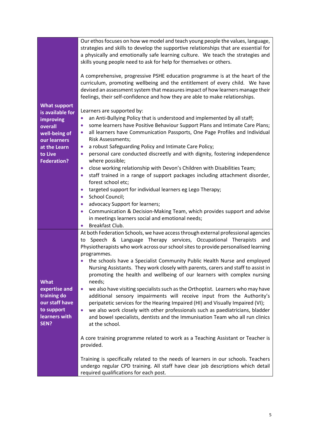| <b>What support</b><br>is available for<br>improving<br>overall<br>well-being of<br>our learners<br>at the Learn<br>to Live<br><b>Federation?</b> | Our ethos focuses on how we model and teach young people the values, language,<br>strategies and skills to develop the supportive relationships that are essential for<br>a physically and emotionally safe learning culture. We teach the strategies and<br>skills young people need to ask for help for themselves or others.<br>A comprehensive, progressive PSHE education programme is at the heart of the<br>curriculum, promoting wellbeing and the entitlement of every child. We have<br>devised an assessment system that measures impact of how learners manage their<br>feelings, their self-confidence and how they are able to make relationships.<br>Learners are supported by:<br>an Anti-Bullying Policy that is understood and implemented by all staff;<br>$\bullet$<br>some learners have Positive Behaviour Support Plans and Intimate Care Plans;<br>$\bullet$<br>all learners have Communication Passports, One Page Profiles and Individual<br>$\bullet$<br><b>Risk Assessments;</b><br>a robust Safeguarding Policy and Intimate Care Policy;<br>$\bullet$<br>personal care conducted discreetly and with dignity, fostering independence<br>$\bullet$<br>where possible;<br>close working relationship with Devon's Children with Disabilities Team;<br>$\bullet$<br>staff trained in a range of support packages including attachment disorder,<br>$\bullet$<br>forest school etc;<br>targeted support for individual learners eg Lego Therapy;<br>$\bullet$<br>School Council;<br>$\bullet$ |
|---------------------------------------------------------------------------------------------------------------------------------------------------|-------------------------------------------------------------------------------------------------------------------------------------------------------------------------------------------------------------------------------------------------------------------------------------------------------------------------------------------------------------------------------------------------------------------------------------------------------------------------------------------------------------------------------------------------------------------------------------------------------------------------------------------------------------------------------------------------------------------------------------------------------------------------------------------------------------------------------------------------------------------------------------------------------------------------------------------------------------------------------------------------------------------------------------------------------------------------------------------------------------------------------------------------------------------------------------------------------------------------------------------------------------------------------------------------------------------------------------------------------------------------------------------------------------------------------------------------------------------------------------------------------------------------|
|                                                                                                                                                   | advocacy Support for learners;<br>$\bullet$<br>Communication & Decision-Making Team, which provides support and advise<br>$\bullet$<br>in meetings learners social and emotional needs;<br>Breakfast Club.                                                                                                                                                                                                                                                                                                                                                                                                                                                                                                                                                                                                                                                                                                                                                                                                                                                                                                                                                                                                                                                                                                                                                                                                                                                                                                              |
| <b>What</b><br>expertise and<br>training do<br>our staff have<br>to support<br>learners with<br>SEN?                                              | At both Federation Schools, we have access through external professional agencies<br>Speech & Language Therapy services, Occupational Therapists and<br>to<br>Physiotherapists who work across our school sites to provide personalised learning<br>programmes.<br>the schools have a Specialist Community Public Health Nurse and employed<br>Nursing Assistants. They work closely with parents, carers and staff to assist in<br>promoting the health and wellbeing of our learners with complex nursing<br>needs;<br>we also have visiting specialists such as the Orthoptist. Learners who may have<br>$\bullet$<br>additional sensory impairments will receive input from the Authority's<br>peripatetic services for the Hearing Impaired (HI) and Visually Impaired (VI);<br>we also work closely with other professionals such as paediatricians, bladder<br>$\bullet$<br>and bowel specialists, dentists and the Immunisation Team who all run clinics<br>at the school.<br>A core training programme related to work as a Teaching Assistant or Teacher is<br>provided.<br>Training is specifically related to the needs of learners in our schools. Teachers<br>undergo regular CPD training. All staff have clear job descriptions which detail<br>required qualifications for each post.                                                                                                                                                                                                                  |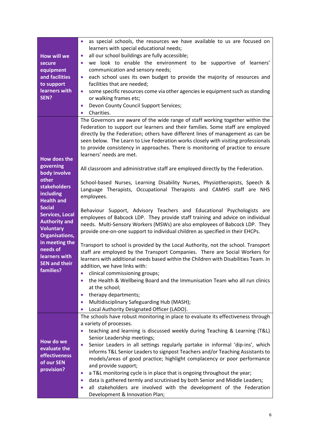| <b>How will we</b><br>secure<br>equipment<br>and facilities<br>to support<br>learners with<br>SEN?                                                                                                                                                                                                                     | as special schools, the resources we have available to us are focused on<br>$\bullet$<br>learners with special educational needs;<br>all our school buildings are fully accessible;<br>$\bullet$<br>we look to enable the environment to be supportive of learners'<br>$\bullet$<br>communication and sensory needs;<br>each school uses its own budget to provide the majority of resources and<br>$\bullet$<br>facilities that are needed;<br>some specific resources come via other agencies ie equipment such as standing<br>$\bullet$<br>or walking frames etc;<br>Devon County Council Support Services;<br>$\bullet$<br>Charities.<br>$\bullet$                                                                                                                                                                                                                                                                                                                                                                                                                                                                                                                                                                                                                                                                                                                                                                                                                                                                                                                                                                    |
|------------------------------------------------------------------------------------------------------------------------------------------------------------------------------------------------------------------------------------------------------------------------------------------------------------------------|---------------------------------------------------------------------------------------------------------------------------------------------------------------------------------------------------------------------------------------------------------------------------------------------------------------------------------------------------------------------------------------------------------------------------------------------------------------------------------------------------------------------------------------------------------------------------------------------------------------------------------------------------------------------------------------------------------------------------------------------------------------------------------------------------------------------------------------------------------------------------------------------------------------------------------------------------------------------------------------------------------------------------------------------------------------------------------------------------------------------------------------------------------------------------------------------------------------------------------------------------------------------------------------------------------------------------------------------------------------------------------------------------------------------------------------------------------------------------------------------------------------------------------------------------------------------------------------------------------------------------|
| <b>How does the</b><br>governing<br>body involve<br>other<br><b>stakeholders</b><br>including<br><b>Health and</b><br><b>Social</b><br><b>Services, Local</b><br><b>Authority and</b><br><b>Voluntary</b><br><b>Organisations,</b><br>in meeting the<br>needs of<br>learners with<br><b>SEN and their</b><br>families? | The Governors are aware of the wide range of staff working together within the<br>Federation to support our learners and their families. Some staff are employed<br>directly by the Federation; others have different lines of management as can be<br>seen below. The Learn to Live Federation works closely with visiting professionals<br>to provide consistency in approaches. There is monitoring of practice to ensure<br>learners' needs are met.<br>All classroom and administrative staff are employed directly by the Federation.<br>School-based Nurses, Learning Disability Nurses, Physiotherapists, Speech &<br>Language Therapists, Occupational Therapists and CAMHS staff are NHS<br>employees.<br>Behaviour Support, Advisory Teachers and Educational Psychologists are<br>employees of Babcock LDP. They provide staff training and advice on individual<br>needs. Multi-Sensory Workers (MSWs) are also employees of Babcock LDP. They<br>provide one-on-one support to individual children as specified in their EHCPs.<br>Transport to school is provided by the Local Authority, not the school. Transport<br>staff are employed by the Transport Companies. There are Social Workers for<br>learners with additional needs based within the Children with Disabilities Team. In<br>addition, we have links with:<br>clinical commissioning groups;<br>the Health & Wellbeing Board and the Immunisation Team who all run clinics<br>at the school;<br>therapy departments;<br>Multidisciplinary Safeguarding Hub (MASH);<br>$\bullet$<br>Local Authority Designated Officer (LADO).<br>$\bullet$ |
| How do we<br>evaluate the<br>effectiveness<br>of our SEN<br>provision?                                                                                                                                                                                                                                                 | The schools have robust monitoring in place to evaluate its effectiveness through<br>a variety of processes.<br>teaching and learning is discussed weekly during Teaching & Learning (T&L)<br>$\bullet$<br>Senior Leadership meetings;<br>Senior Leaders in all settings regularly partake in informal 'dip-ins', which<br>$\bullet$<br>informs T&L Senior Leaders to signpost Teachers and/or Teaching Assistants to<br>models/areas of good practice; highlight complacency or poor performance<br>and provide support;<br>a T&L monitoring cycle is in place that is ongoing throughout the year;<br>$\bullet$<br>data is gathered termly and scrutinised by both Senior and Middle Leaders;<br>$\bullet$<br>all stakeholders are involved with the development of the Federation<br>Development & Innovation Plan;                                                                                                                                                                                                                                                                                                                                                                                                                                                                                                                                                                                                                                                                                                                                                                                                    |